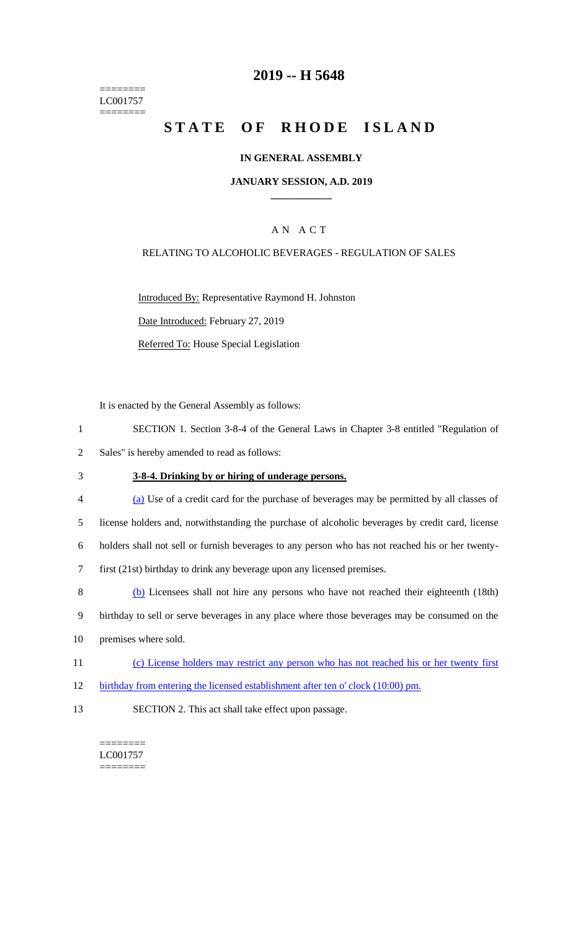======== LC001757 ========

# **2019 -- H 5648**

# **STATE OF RHODE ISLAND**

### **IN GENERAL ASSEMBLY**

#### **JANUARY SESSION, A.D. 2019 \_\_\_\_\_\_\_\_\_\_\_\_**

## A N A C T

### RELATING TO ALCOHOLIC BEVERAGES - REGULATION OF SALES

Introduced By: Representative Raymond H. Johnston Date Introduced: February 27, 2019

Referred To: House Special Legislation

It is enacted by the General Assembly as follows:

- 1 SECTION 1. Section 3-8-4 of the General Laws in Chapter 3-8 entitled "Regulation of
- 2 Sales" is hereby amended to read as follows:
- 3 **3-8-4. Drinking by or hiring of underage persons.**
- 4 (a) Use of a credit card for the purchase of beverages may be permitted by all classes of 5 license holders and, notwithstanding the purchase of alcoholic beverages by credit card, license 6 holders shall not sell or furnish beverages to any person who has not reached his or her twenty-7 first (21st) birthday to drink any beverage upon any licensed premises. 8 (b) Licensees shall not hire any persons who have not reached their eighteenth (18th)
- 9 birthday to sell or serve beverages in any place where those beverages may be consumed on the
- 10 premises where sold.
- 11 (c) License holders may restrict any person who has not reached his or her twenty first
- 12 birthday from entering the licensed establishment after ten o' clock (10:00) pm.
- 13 SECTION 2. This act shall take effect upon passage.

======== LC001757 ========